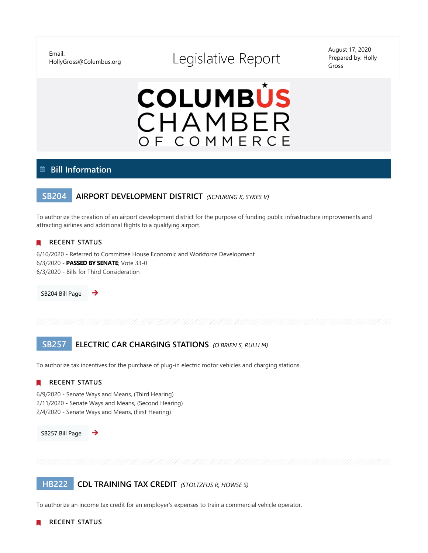Email:

# HollyGross@Columbus.org Legislative Report

August 17, 2020 Prepared by: Holly Gross



## **Bill Information**

## **SB204 AIRPORT DEVELOPMENT DISTRICT** *(SCHURING K, SYKES V)*

To authorize the creation of an airport development district for the purpose of funding public infrastructure improvements and attracting airlines and additional flights to a qualifying airport.

## **RECENT STATUS**

6/10/2020 - Referred to Committee House Economic and Workforce Development 6/3/2020 - **PASSED BY SENATE**; Vote 33-0 6/3/2020 - Bills for Third Consideration

[SB204 Bill Page](https://www.legislature.ohio.gov/legislation/legislation-summary?id=GA133-SB-204) 

## **SB257 ELECTRIC CAR CHARGING STATIONS** *(O'BRIEN S, RULLI M)*

To authorize tax incentives for the purchase of plug-in electric motor vehicles and charging stations.

## **RECENT STATUS**

6/9/2020 - Senate Ways and Means, (Third Hearing) 2/11/2020 - Senate Ways and Means, (Second Hearing) 2/4/2020 - Senate Ways and Means, (First Hearing)



**HB222 CDL TRAINING TAX CREDIT** *(STOLTZFUS R, HOWSE S)*

To authorize an income tax credit for an employer's expenses to train a commercial vehicle operator.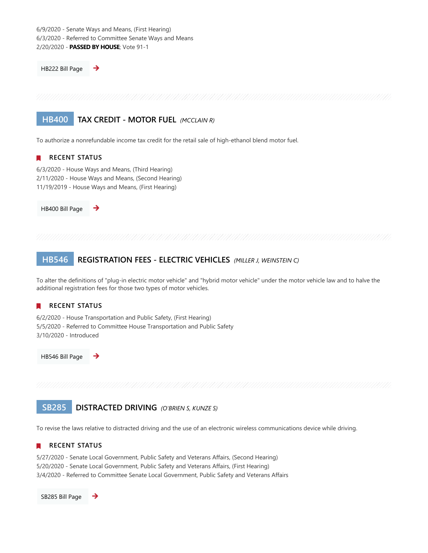6/9/2020 - Senate Ways and Means, (First Hearing) 6/3/2020 - Referred to Committee Senate Ways and Means 2/20/2020 - **PASSED BY HOUSE**; Vote 91-1

→

[HB222 Bill Page](https://www.legislature.ohio.gov/legislation/legislation-summary?id=GA133-HB-222) 

## **HB400 TAX CREDIT - MOTOR FUEL** *(MCCLAIN R)*

To authorize a nonrefundable income tax credit for the retail sale of high-ethanol blend motor fuel.

## **RECENT STATUS**

6/3/2020 - House Ways and Means, (Third Hearing) 2/11/2020 - House Ways and Means, (Second Hearing) 11/19/2019 - House Ways and Means, (First Hearing)

[HB400 Bill Page](https://www.legislature.ohio.gov/legislation/legislation-summary?id=GA133-HB-400) 

## **HB546 REGISTRATION FEES - ELECTRIC VEHICLES** *(MILLER J, WEINSTEIN C)*

To alter the definitions of "plug-in electric motor vehicle" and "hybrid motor vehicle" under the motor vehicle law and to halve the additional registration fees for those two types of motor vehicles.

#### **RECENT STATUS** П

6/2/2020 - House Transportation and Public Safety, (First Hearing) 5/5/2020 - Referred to Committee House Transportation and Public Safety 3/10/2020 - Introduced

[HB546 Bill Page](https://www.legislature.ohio.gov/legislation/legislation-summary?id=GA133-HB-546) 

**SB285 DISTRACTED DRIVING** *(O'BRIEN S, KUNZE S)*

To revise the laws relative to distracted driving and the use of an electronic wireless communications device while driving.

## **RECENT STATUS**

5/27/2020 - Senate Local Government, Public Safety and Veterans Affairs, (Second Hearing) 5/20/2020 - Senate Local Government, Public Safety and Veterans Affairs, (First Hearing) 3/4/2020 - Referred to Committee Senate Local Government, Public Safety and Veterans Affairs

[SB285 Bill Page](https://www.legislature.ohio.gov/legislation/legislation-summary?id=GA133-SB-285) →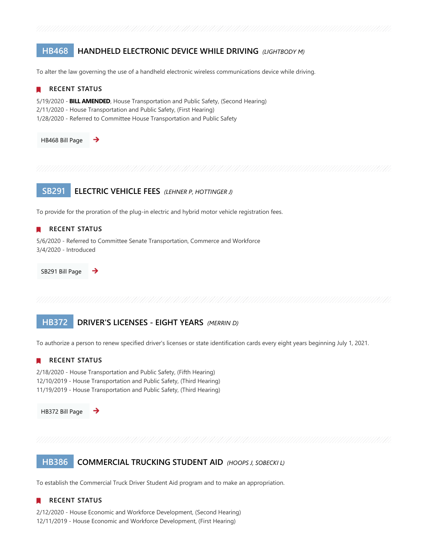## **HB468 HANDHELD ELECTRONIC DEVICE WHILE DRIVING** *(LIGHTBODY M)*

To alter the law governing the use of a handheld electronic wireless communications device while driving.



## **HB372 DRIVER'S LICENSES - EIGHT YEARS** *(MERRIN D)*

To authorize a person to renew specified driver's licenses or state identification cards every eight years beginning July 1, 2021.

## **RECENT STATUS**

2/18/2020 - House Transportation and Public Safety, (Fifth Hearing) 12/10/2019 - House Transportation and Public Safety, (Third Hearing) 11/19/2019 - House Transportation and Public Safety, (Third Hearing)

[HB372 Bill Page](https://www.legislature.ohio.gov/legislation/legislation-summary?id=GA133-HB-372) 

## **HB386 COMMERCIAL TRUCKING STUDENT AID** *(HOOPS J, SOBECKI L)*

To establish the Commercial Truck Driver Student Aid program and to make an appropriation.

## **RECENT STATUS**

2/12/2020 - House Economic and Workforce Development, (Second Hearing) 12/11/2019 - House Economic and Workforce Development, (First Hearing)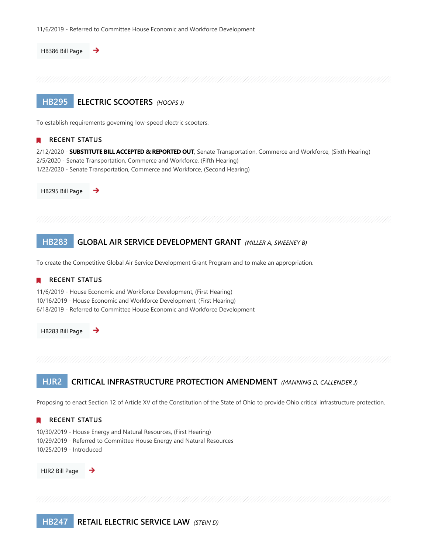

## **HJR2 CRITICAL INFRASTRUCTURE PROTECTION AMENDMENT** *(MANNING D, CALLENDER J)*

Proposing to enact Section 12 of Article XV of the Constitution of the State of Ohio to provide Ohio critical infrastructure protection.

## **RECENT STATUS**

10/30/2019 - House Energy and Natural Resources, (First Hearing) 10/29/2019 - Referred to Committee House Energy and Natural Resources 10/25/2019 - Introduced

[HJR2 Bill Page](https://www.legislature.ohio.gov/legislation/legislation-summary?id=GA133-HJR-2)  →

**HB247 RETAIL ELECTRIC SERVICE LAW** *(STEIN D)*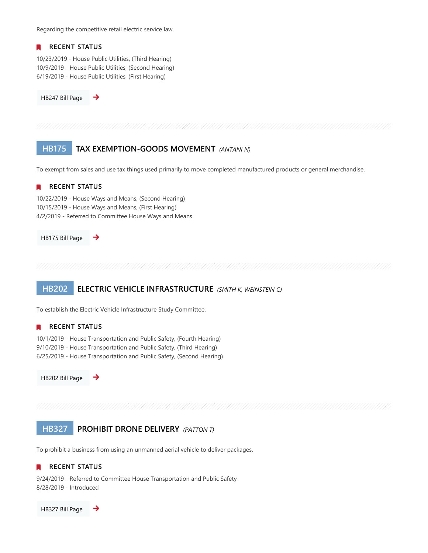Regarding the competitive retail electric service law.

## **RECENT STATUS**

10/23/2019 - House Public Utilities, (Third Hearing) 10/9/2019 - House Public Utilities, (Second Hearing) 6/19/2019 - House Public Utilities, (First Hearing)

[HB247 Bill Page](https://www.legislature.ohio.gov/legislation/legislation-summary?id=GA133-HB-247) 

## **HB175 TAX EXEMPTION-GOODS MOVEMENT** *(ANTANI N)*

To exempt from sales and use tax things used primarily to move completed manufactured products or general merchandise.

## **RECENT STATUS**

10/22/2019 - House Ways and Means, (Second Hearing) 10/15/2019 - House Ways and Means, (First Hearing) 4/2/2019 - Referred to Committee House Ways and Means

[HB175 Bill Page](https://www.legislature.ohio.gov/legislation/legislation-summary?id=GA133-HB-175) 

## **HB202 ELECTRIC VEHICLE INFRASTRUCTURE** *(SMITH K, WEINSTEIN C)*

To establish the Electric Vehicle Infrastructure Study Committee.

## **RECENT STATUS**

10/1/2019 - House Transportation and Public Safety, (Fourth Hearing) 9/10/2019 - House Transportation and Public Safety, (Third Hearing) 6/25/2019 - House Transportation and Public Safety, (Second Hearing)

[HB202 Bill Page](https://www.legislature.ohio.gov/legislation/legislation-summary?id=GA133-HB-202) 

→

## **HB327 PROHIBIT DRONE DELIVERY** *(PATTON T)*

To prohibit a business from using an unmanned aerial vehicle to deliver packages.

#### **RECENT STATUS**  $\mathbf{r}$

9/24/2019 - Referred to Committee House Transportation and Public Safety 8/28/2019 - Introduced

[HB327 Bill Page](https://www.legislature.ohio.gov/legislation/legislation-summary?id=GA133-HB-327)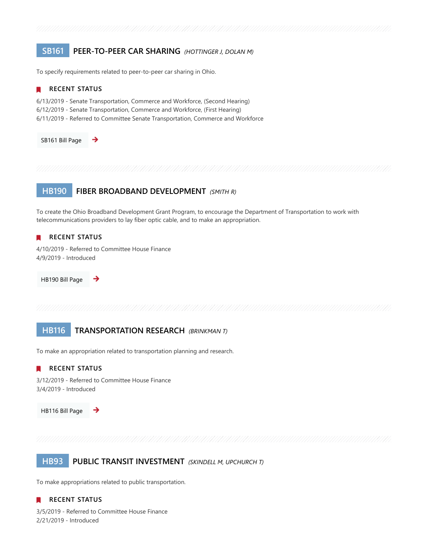## **SB161 PEER-TO-PEER CAR SHARING** *(HOTTINGER J, DOLAN M)*

To specify requirements related to peer-to-peer car sharing in Ohio.

## **RECENT STATUS**

6/13/2019 - Senate Transportation, Commerce and Workforce, (Second Hearing) 6/12/2019 - Senate Transportation, Commerce and Workforce, (First Hearing) 6/11/2019 - Referred to Committee Senate Transportation, Commerce and Workforce

[SB161 Bill Page](https://www.legislature.ohio.gov/legislation/legislation-summary?id=GA133-SB-161)  →

## **HB190 FIBER BROADBAND DEVELOPMENT** *(SMITH R)*

To create the Ohio Broadband Development Grant Program, to encourage the Department of Transportation to work with telecommunications providers to lay fiber optic cable, and to make an appropriation.

## **RECENT STATUS**

4/10/2019 - Referred to Committee House Finance 4/9/2019 - Introduced

[HB190 Bill Page](https://www.legislature.ohio.gov/legislation/legislation-summary?id=GA133-HB-190)  د

## **HB116 TRANSPORTATION RESEARCH** *(BRINKMAN T)*

To make an appropriation related to transportation planning and research.

## **RECENT STATUS**

3/12/2019 - Referred to Committee House Finance 3/4/2019 - Introduced

[HB116 Bill Page](https://www.legislature.ohio.gov/legislation/legislation-summary?id=GA133-HB-116) 



**HB93 PUBLIC TRANSIT INVESTMENT** *(SKINDELL M, UPCHURCH T)*

To make appropriations related to public transportation.

## **RECENT STATUS**

3/5/2019 - Referred to Committee House Finance 2/21/2019 - Introduced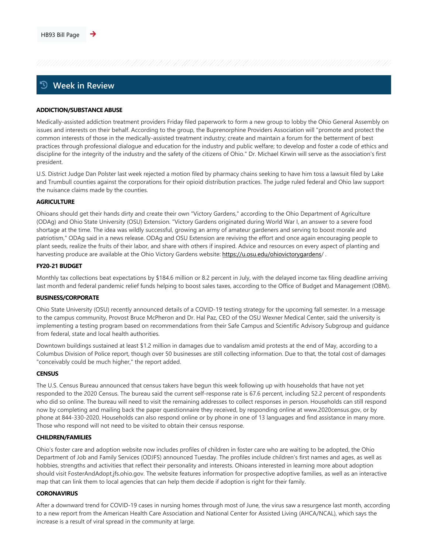## **Week in Review**

### **ADDICTION/SUBSTANCE ABUSE**

Medically-assisted addiction treatment providers Friday filed paperwork to form a new group to lobby the Ohio General Assembly on issues and interests on their behalf. According to the group, the Buprenorphine Providers Association will "promote and protect the common interests of those in the medically-assisted treatment industry; create and maintain a forum for the betterment of best practices through professional dialogue and education for the industry and public welfare; to develop and foster a code of ethics and discipline for the integrity of the industry and the safety of the citizens of Ohio." Dr. Michael Kirwin will serve as the association's first president.

U.S. District Judge Dan Polster last week rejected a motion filed by pharmacy chains seeking to have him toss a lawsuit filed by Lake and Trumbull counties against the corporations for their opioid distribution practices. The judge ruled federal and Ohio law support the nuisance claims made by the counties.

### **AGRICULTURE**

Ohioans should get their hands dirty and create their own "Victory Gardens," according to the Ohio Department of Agriculture (ODAg) and Ohio State University (OSU) Extension. "Victory Gardens originated during World War I, an answer to a severe food shortage at the time. The idea was wildly successful, growing an army of amateur gardeners and serving to boost morale and patriotism," ODAg said in a news release. ODAg and OSU Extension are reviving the effort and once again encouraging people to plant seeds, realize the fruits of their labor, and share with others if inspired. Advice and resources on every aspect of planting and harvesting produce are available at the Ohio Victory Gardens website: [https://u.osu.edu/ohiovictorygardens/](https://u.osu.edu/ohiovictorygardens).

### **FY20-21 BUDGET**

Monthly tax collections beat expectations by \$184.6 million or 8.2 percent in July, with the delayed income tax filing deadline arriving last month and federal pandemic relief funds helping to boost sales taxes, according to the Office of Budget and Management (OBM).

### **BUSINESS/CORPORATE**

Ohio State University (OSU) recently announced details of a COVID-19 testing strategy for the upcoming fall semester. In a message to the campus community, Provost Bruce McPheron and Dr. Hal Paz, CEO of the OSU Wexner Medical Center, said the university is implementing a testing program based on recommendations from their Safe Campus and Scientific Advisory Subgroup and guidance from federal, state and local health authorities.

Downtown buildings sustained at least \$1.2 million in damages due to vandalism amid protests at the end of May, according to a Columbus Division of Police report, though over 50 businesses are still collecting information. Due to that, the total cost of damages "conceivably could be much higher," the report added.

## **CENSUS**

The U.S. Census Bureau announced that census takers have begun this week following up with households that have not yet responded to the 2020 Census. The bureau said the current self-response rate is 67.6 percent, including 52.2 percent of respondents who did so online. The bureau will need to visit the remaining addresses to collect responses in person. Households can still respond now by completing and mailing back the paper questionnaire they received, by responding online at www.2020census.gov, or by phone at 844-330-2020. Households can also respond online or by phone in one of 13 languages and find assistance in many more. Those who respond will not need to be visited to obtain their census response.

## **CHILDREN/FAMILIES**

Ohio's foster care and adoption website now includes profiles of children in foster care who are waiting to be adopted, the Ohio Department of Job and Family Services (ODJFS) announced Tuesday. The profiles include children's first names and ages, as well as hobbies, strengths and activities that reflect their personality and interests. Ohioans interested in learning more about adoption should visit FosterAndAdopt.jfs.ohio.gov. The website features information for prospective adoptive families, as well as an interactive map that can link them to local agencies that can help them decide if adoption is right for their family.

### **CORONAVIRUS**

After a downward trend for COVID-19 cases in nursing homes through most of June, the virus saw a resurgence last month, according to a new report from the American Health Care Association and National Center for Assisted Living (AHCA/NCAL), which says the increase is a result of viral spread in the community at large.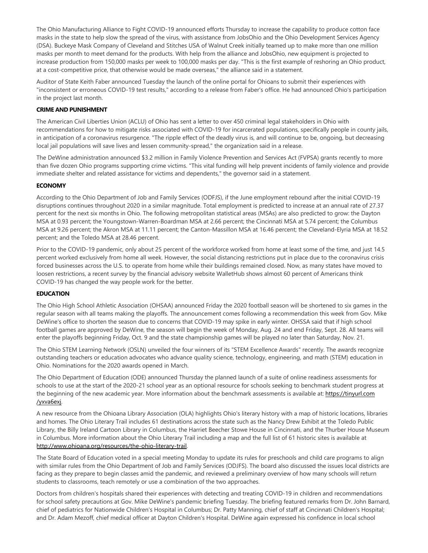The Ohio Manufacturing Alliance to Fight COVID-19 announced efforts Thursday to increase the capability to produce cotton face masks in the state to help slow the spread of the virus, with assistance from JobsOhio and the Ohio Development Services Agency (DSA). Buckeye Mask Company of Cleveland and Stitches USA of Walnut Creek initially teamed up to make more than one million masks per month to meet demand for the products. With help from the alliance and JobsOhio, new equipment is projected to increase production from 150,000 masks per week to 100,000 masks per day. "This is the first example of reshoring an Ohio product, at a cost-competitive price, that otherwise would be made overseas," the alliance said in a statement.

Auditor of State Keith Faber announced Tuesday the launch of the online portal for Ohioans to submit their experiences with "inconsistent or erroneous COVID-19 test results," according to a release from Faber's office. He had announced Ohio's participation in the project last month.

## **CRIME AND PUNISHMENT**

The American Civil Liberties Union (ACLU) of Ohio has sent a letter to over 450 criminal legal stakeholders in Ohio with recommendations for how to mitigate risks associated with COVID-19 for incarcerated populations, specifically people in county jails, in anticipation of a coronavirus resurgence. "The ripple effect of the deadly virus is, and will continue to be, ongoing, but decreasing local jail populations will save lives and lessen community-spread," the organization said in a release.

The DeWine administration announced \$3.2 million in Family Violence Prevention and Services Act (FVPSA) grants recently to more than five dozen Ohio programs supporting crime victims. "This vital funding will help prevent incidents of family violence and provide immediate shelter and related assistance for victims and dependents," the governor said in a statement.

## **ECONOMY**

According to the Ohio Department of Job and Family Services (ODFJS), if the June employment rebound after the initial COVID-19 disruptions continues throughout 2020 in a similar magnitude. Total employment is predicted to increase at an annual rate of 27.37 percent for the next six months in Ohio. The following metropolitan statistical areas (MSAs) are also predicted to grow: the Dayton MSA at 0.93 percent; the Youngstown-Warren-Boardman MSA at 2.66 percent; the Cincinnati MSA at 5.74 percent; the Columbus MSA at 9.26 percent; the Akron MSA at 11.11 percent; the Canton-Massillon MSA at 16.46 percent; the Cleveland-Elyria MSA at 18.52 percent; and the Toledo MSA at 28.46 percent.

Prior to the COVID-19 pandemic, only about 25 percent of the workforce worked from home at least some of the time, and just 14.5 percent worked exclusively from home all week. However, the social distancing restrictions put in place due to the coronavirus crisis forced businesses across the U.S. to operate from home while their buildings remained closed. Now, as many states have moved to loosen restrictions, a recent survey by the financial advisory website WalletHub shows almost 60 percent of Americans think COVID-19 has changed the way people work for the better.

## **EDUCATION**

The Ohio High School Athletic Association (OHSAA) announced Friday the 2020 football season will be shortened to six games in the regular season with all teams making the playoffs. The announcement comes following a recommendation this week from Gov. Mike DeWine's office to shorten the season due to concerns that COVID-19 may spike in early winter. OHSSA said that if high school football games are approved by DeWine, the season will begin the week of Monday, Aug. 24 and end Friday, Sept. 28. All teams will enter the playoffs beginning Friday, Oct. 9 and the state championship games will be played no later than Saturday, Nov. 21.

The Ohio STEM Learning Network (OSLN) unveiled the four winners of its "STEM Excellence Awards" recently. The awards recognize outstanding teachers or education advocates who advance quality science, technology, engineering, and math (STEM) education in Ohio. Nominations for the 2020 awards opened in March.

The Ohio Department of Education (ODE) announced Thursday the planned launch of a suite of online readiness assessments for schools to use at the start of the 2020-21 school year as an optional resource for schools seeking to benchmark student progress at the beginning of the new academic year. More information about the benchmark assessments is available at: [https://tinyurl.com](https://tinyurl.com/yxva6exj) /yxva6exj.

A new resource from the Ohioana Library Association (OLA) highlights Ohio's literary history with a map of historic locations, libraries and homes. The Ohio Literary Trail includes 61 destinations across the state such as the Nancy Drew Exhibit at the Toledo Public Library, the Billy Ireland Cartoon Library in Columbus, the Harriet Beecher Stowe House in Cincinnati, and the Thurber House Museum in Columbus. More information about the Ohio Literary Trail including a map and the full list of 61 historic sites is available at [http://www.ohioana.org/resources/the-ohio-literary-trail.](http://www.ohioana.org/resources/the-ohio-literary-trail)

The State Board of Education voted in a special meeting Monday to update its rules for preschools and child care programs to align with similar rules from the Ohio Department of Job and Family Services (ODJFS). The board also discussed the issues local districts are facing as they prepare to begin classes amid the pandemic, and reviewed a preliminary overview of how many schools will return students to classrooms, teach remotely or use a combination of the two approaches.

Doctors from children's hospitals shared their experiences with detecting and treating COVID-19 in children and recommendations for school safety precautions at Gov. Mike DeWine's pandemic briefing Tuesday. The briefing featured remarks from Dr. John Barnard, chief of pediatrics for Nationwide Children's Hospital in Columbus; Dr. Patty Manning, chief of staff at Cincinnati Children's Hospital; and Dr. Adam Mezoff, chief medical officer at Dayton Children's Hospital. DeWine again expressed his confidence in local school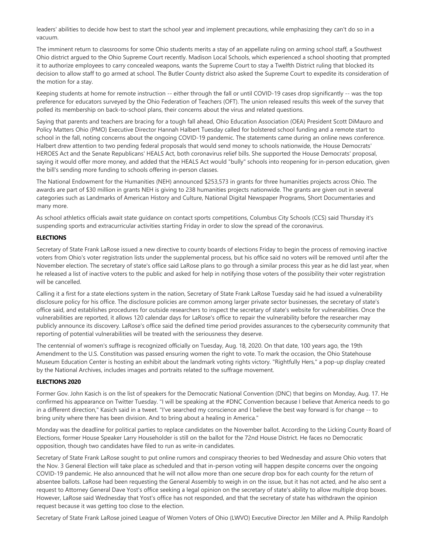leaders' abilities to decide how best to start the school year and implement precautions, while emphasizing they can't do so in a vacuum.

The imminent return to classrooms for some Ohio students merits a stay of an appellate ruling on arming school staff, a Southwest Ohio district argued to the Ohio Supreme Court recently. Madison Local Schools, which experienced a school shooting that prompted it to authorize employees to carry concealed weapons, wants the Supreme Court to stay a Twelfth District ruling that blocked its decision to allow staff to go armed at school. The Butler County district also asked the Supreme Court to expedite its consideration of the motion for a stay.

Keeping students at home for remote instruction -- either through the fall or until COVID-19 cases drop significantly -- was the top preference for educators surveyed by the Ohio Federation of Teachers (OFT). The union released results this week of the survey that polled its membership on back-to-school plans, their concerns about the virus and related questions.

Saying that parents and teachers are bracing for a tough fall ahead, Ohio Education Association (OEA) President Scott DiMauro and Policy Matters Ohio (PMO) Executive Director Hannah Halbert Tuesday called for bolstered school funding and a remote start to school in the fall, noting concerns about the ongoing COVID-19 pandemic. The statements came during an online news conference. Halbert drew attention to two pending federal proposals that would send money to schools nationwide, the House Democrats' HEROES Act and the Senate Republicans' HEALS Act, both coronavirus relief bills. She supported the House Democrats' proposal, saying it would offer more money, and added that the HEALS Act would "bully" schools into reopening for in-person education, given the bill's sending more funding to schools offering in-person classes.

The National Endowment for the Humanities (NEH) announced \$253,573 in grants for three humanities projects across Ohio. The awards are part of \$30 million in grants NEH is giving to 238 humanities projects nationwide. The grants are given out in several categories such as Landmarks of American History and Culture, National Digital Newspaper Programs, Short Documentaries and many more.

As school athletics officials await state guidance on contact sports competitions, Columbus City Schools (CCS) said Thursday it's suspending sports and extracurricular activities starting Friday in order to slow the spread of the coronavirus.

## **ELECTIONS**

Secretary of State Frank LaRose issued a new directive to county boards of elections Friday to begin the process of removing inactive voters from Ohio's voter registration lists under the supplemental process, but his office said no voters will be removed until after the November election. The secretary of state's office said LaRose plans to go through a similar process this year as he did last year, when he released a list of inactive voters to the public and asked for help in notifying those voters of the possibility their voter registration will be cancelled.

Calling it a first for a state elections system in the nation, Secretary of State Frank LaRose Tuesday said he had issued a vulnerability disclosure policy for his office. The disclosure policies are common among larger private sector businesses, the secretary of state's office said, and establishes procedures for outside researchers to inspect the secretary of state's website for vulnerabilities. Once the vulnerabilities are reported, it allows 120 calendar days for LaRose's office to repair the vulnerability before the researcher may publicly announce its discovery. LaRose's office said the defined time period provides assurances to the cybersecurity community that reporting of potential vulnerabilities will be treated with the seriousness they deserve.

The centennial of women's suffrage is recognized officially on Tuesday, Aug. 18, 2020. On that date, 100 years ago, the 19th Amendment to the U.S. Constitution was passed ensuring women the right to vote. To mark the occasion, the Ohio Statehouse Museum Education Center is hosting an exhibit about the landmark voting rights victory. "Rightfully Hers," a pop-up display created by the National Archives, includes images and portraits related to the suffrage movement.

## **ELECTIONS 2020**

Former Gov. John Kasich is on the list of speakers for the Democratic National Convention (DNC) that begins on Monday, Aug. 17. He confirmed his appearance on Twitter Tuesday. "I will be speaking at the #DNC Convention because I believe that America needs to go in a different direction," Kasich said in a tweet. "I've searched my conscience and I believe the best way forward is for change -- to bring unity where there has been division. And to bring about a healing in America."

Monday was the deadline for political parties to replace candidates on the November ballot. According to the Licking County Board of Elections, former House Speaker Larry Householder is still on the ballot for the 72nd House District. He faces no Democratic opposition, though two candidates have filed to run as write-in candidates.

Secretary of State Frank LaRose sought to put online rumors and conspiracy theories to bed Wednesday and assure Ohio voters that the Nov. 3 General Election will take place as scheduled and that in-person voting will happen despite concerns over the ongoing COVID-19 pandemic. He also announced that he will not allow more than one secure drop box for each county for the return of absentee ballots. LaRose had been requesting the General Assembly to weigh in on the issue, but it has not acted, and he also sent a request to Attorney General Dave Yost's office seeking a legal opinion on the secretary of state's ability to allow multiple drop boxes. However, LaRose said Wednesday that Yost's office has not responded, and that the secretary of state has withdrawn the opinion request because it was getting too close to the election.

Secretary of State Frank LaRose joined League of Women Voters of Ohio (LWVO) Executive Director Jen Miller and A. Philip Randolph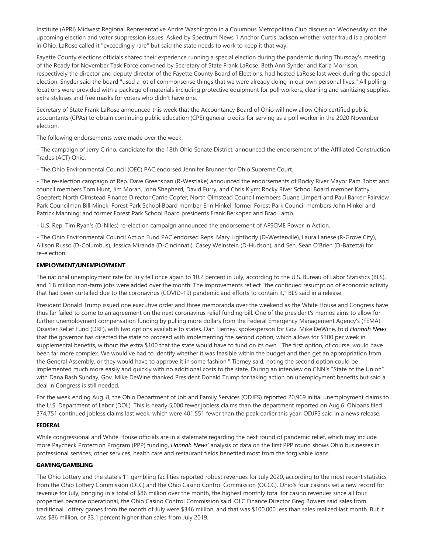Institute (APRI) Midwest Regional Representative Andre Washington in a Columbus Metropolitan Club discussion Wednesday on the upcoming election and voter suppression issues. Asked by Spectrum News 1 Anchor Curtis Jackson whether voter fraud is a problem in Ohio, LaRose called it "exceedingly rare" but said the state needs to work to keep it that way.

Fayette County elections officials shared their experience running a special election during the pandemic during Thursday's meeting of the Ready for November Task Force convened by Secretary of State Frank LaRose. Beth Ann Synder and Karla Morrison, respectively the director and deputy director of the Fayette County Board of Elections, had hosted LaRose last week during the special election. Snyder said the board "used a lot of commonsense things that we were already doing in our own personal lives." All polling locations were provided with a package of materials including protective equipment for poll workers, cleaning and sanitizing supplies, extra styluses and free masks for voters who didn't have one.

Secretary of State Frank LaRose announced this week that the Accountancy Board of Ohio will now allow Ohio certified public accountants (CPAs) to obtain continuing public education (CPE) general credits for serving as a poll worker in the 2020 November election.

The following endorsements were made over the week:

- The campaign of Jerry Cirino, candidate for the 18th Ohio Senate District, announced the endorsement of the Affiliated Construction Trades (ACT) Ohio.

- The Ohio Environmental Council (OEC) PAC endorsed Jennifer Brunner for Ohio Supreme Court.

- The re-election campaign of Rep. Dave Greenspan (R-Westlake) announced the endorsements of Rocky River Mayor Pam Bobst and council members Tom Hunt, Jim Moran, John Shepherd, David Furry, and Chris Klym; Rocky River School Board member Kathy Goepfert; North Olmstead Finance Director Carrie Copfer; North Olmstead Council members Duane Limpert and Paul Barker; Fairview Park Councilman Bill Minek; Forest Park School Board member Erin Hinkel; former Forest Park Council members John Hinkel and Patrick Manning; and former Forest Park School Board presidents Frank Berkopec and Brad Lamb.

- U.S. Rep. Tim Ryan's (D-Niles) re-election campaign announced the endorsement of AFSCME Power in Action.

- The Ohio Environmental Council Action Fund PAC endorsed Reps. Mary Lightbody (D-Westerville), Laura Lanese (R-Grove City), Allison Russo (D-Columbus), Jessica Miranda (D-Cincinnati), Casey Weinstein (D-Hudson), and Sen. Sean O'Brien (D-Bazetta) for re-election.

## **EMPLOYMENT/UNEMPLOYMENT**

The national unemployment rate for July fell once again to 10.2 percent in July, according to the U.S. Bureau of Labor Statistics (BLS), and 1.8 million non-farm jobs were added over the month. The improvements reflect "the continued resumption of economic activity that had been curtailed due to the coronavirus (COVID-19) pandemic and efforts to contain it," BLS said in a release.

President Donald Trump issued one executive order and three memoranda over the weekend as the White House and Congress have thus far failed to come to an agreement on the next coronavirus relief funding bill. One of the president's memos aims to allow for further unemployment compensation funding by pulling more dollars from the Federal Emergency Management Agency's (FEMA) Disaster Relief Fund (DRF), with two options available to states. Dan Tierney, spokesperson for Gov. Mike DeWine, told *Hannah News* that the governor has directed the state to proceed with implementing the second option, which allows for \$300 per week in supplemental benefits, without the extra \$100 that the state would have to fund on its own. "The first option, of course, would have been far more complex. We would've had to identify whether it was feasible within the budget and then get an appropriation from the General Assembly, or they would have to approve it in some fashion," Tierney said, noting the second option could be implemented much more easily and quickly with no additional costs to the state. During an interview on CNN's "State of the Union" with Dana Bash Sunday, Gov. Mike DeWine thanked President Donald Trump for taking action on unemployment benefits but said a deal in Congress is still needed.

For the week ending Aug. 8, the Ohio Department of Job and Family Services (ODJFS) reported 20,969 initial unemployment claims to the U.S. Department of Labor (DOL). This is nearly 5,000 fewer jobless claims than the department reported on Aug.6. Ohioans filed 374,751 continued jobless claims last week, which were 401,551 fewer than the peak earlier this year, ODJFS said in a news release.

## **FEDERAL**

While congressional and White House officials are in a stalemate regarding the next round of pandemic relief, which may include more Paycheck Protection Program (PPP) funding, *Hannah News'* analysis of data on the first PPP round shows Ohio businesses in professional services, other services, health care and restaurant fields benefited most from the forgivable loans.

## **GAMING/GAMBLING**

The Ohio Lottery and the state's 11 gambling facilities reported robust revenues for July 2020, according to the most recent statistics from the Ohio Lottery Commission (OLC) and the Ohio Casino Control Commission (OCCC). Ohio's four casinos set a new record for revenue for July, bringing in a total of \$86 million over the month, the highest monthly total for casino revenues since all four properties became operational, the Ohio Casino Control Commission said. OLC Finance Director Greg Bowers said sales from traditional Lottery games from the month of July were \$346 million, and that was \$100,000 less than sales realized last month. But it was \$86 million, or 33.1 percent higher than sales from July 2019.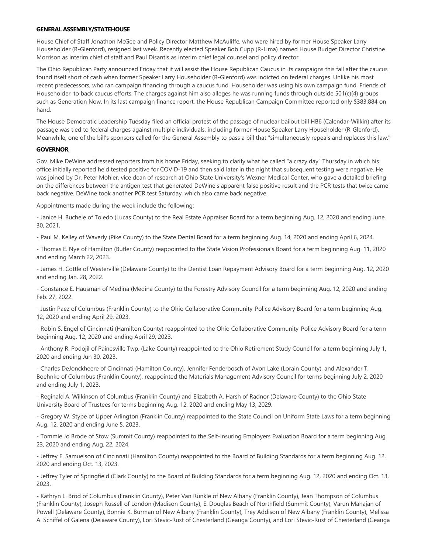### **GENERAL ASSEMBLY/STATEHOUSE**

House Chief of Staff Jonathon McGee and Policy Director Matthew McAuliffe, who were hired by former House Speaker Larry Householder (R-Glenford), resigned last week. Recently elected Speaker Bob Cupp (R-Lima) named House Budget Director Christine Morrison as interim chief of staff and Paul Disantis as interim chief legal counsel and policy director.

The Ohio Republican Party announced Friday that it will assist the House Republican Caucus in its campaigns this fall after the caucus found itself short of cash when former Speaker Larry Householder (R-Glenford) was indicted on federal charges. Unlike his most recent predecessors, who ran campaign financing through a caucus fund, Householder was using his own campaign fund, Friends of Householder, to back caucus efforts. The charges against him also alleges he was running funds through outside 501(c)(4) groups such as Generation Now. In its last campaign finance report, the House Republican Campaign Committee reported only \$383,884 on hand.

The House Democratic Leadership Tuesday filed an official protest of the passage of nuclear bailout bill HB6 (Calendar-Wilkin) after its passage was tied to federal charges against multiple individuals, including former House Speaker Larry Householder (R-Glenford). Meanwhile, one of the bill's sponsors called for the General Assembly to pass a bill that "simultaneously repeals and replaces this law."

### **GOVERNOR**

Gov. Mike DeWine addressed reporters from his home Friday, seeking to clarify what he called "a crazy day" Thursday in which his office initially reported he'd tested positive for COVID-19 and then said later in the night that subsequent testing were negative. He was joined by Dr. Peter Mohler, vice dean of research at Ohio State University's Wexner Medical Center, who gave a detailed briefing on the differences between the antigen test that generated DeWine's apparent false positive result and the PCR tests that twice came back negative. DeWine took another PCR test Saturday, which also came back negative.

Appointments made during the week include the following:

- Janice H. Buchele of Toledo (Lucas County) to the Real Estate Appraiser Board for a term beginning Aug. 12, 2020 and ending June 30, 2021.

- Paul M. Kelley of Waverly (Pike County) to the State Dental Board for a term beginning Aug. 14, 2020 and ending April 6, 2024.

- Thomas E. Nye of Hamilton (Butler County) reappointed to the State Vision Professionals Board for a term beginning Aug. 11, 2020 and ending March 22, 2023.

- James H. Cottle of Westerville (Delaware County) to the Dentist Loan Repayment Advisory Board for a term beginning Aug. 12, 2020 and ending Jan. 28, 2022.

- Constance E. Hausman of Medina (Medina County) to the Forestry Advisory Council for a term beginning Aug. 12, 2020 and ending Feb. 27, 2022.

- Justin Paez of Columbus (Franklin County) to the Ohio Collaborative Community-Police Advisory Board for a term beginning Aug. 12, 2020 and ending April 29, 2023.

- Robin S. Engel of Cincinnati (Hamilton County) reappointed to the Ohio Collaborative Community-Police Advisory Board for a term beginning Aug. 12, 2020 and ending April 29, 2023.

- Anthony R. Podojil of Painesville Twp. (Lake County) reappointed to the Ohio Retirement Study Council for a term beginning July 1, 2020 and ending Jun 30, 2023.

- Charles DeJonckheere of Cincinnati (Hamilton County), Jennifer Fenderbosch of Avon Lake (Lorain County), and Alexander T. Boehnke of Columbus (Franklin County), reappointed the Materials Management Advisory Council for terms beginning July 2, 2020 and ending July 1, 2023.

- Reginald A. Wilkinson of Columbus (Franklin County) and Elizabeth A. Harsh of Radnor (Delaware County) to the Ohio State University Board of Trustees for terms beginning Aug. 12, 2020 and ending May 13, 2029.

- Gregory W. Stype of Upper Arlington (Franklin County) reappointed to the State Council on Uniform State Laws for a term beginning Aug. 12, 2020 and ending June 5, 2023.

- Tommie Jo Brode of Stow (Summit County) reappointed to the Self-Insuring Employers Evaluation Board for a term beginning Aug. 23, 2020 and ending Aug. 22, 2024.

- Jeffrey E. Samuelson of Cincinnati (Hamilton County) reappointed to the Board of Building Standards for a term beginning Aug. 12, 2020 and ending Oct. 13, 2023.

- Jeffrey Tyler of Springfield (Clark County) to the Board of Building Standards for a term beginning Aug. 12, 2020 and ending Oct. 13, 2023.

- Kathryn L. Brod of Columbus (Franklin County), Peter Van Runkle of New Albany (Franklin County), Jean Thompson of Columbus (Franklin County), Joseph Russell of London (Madison County), E. Douglas Beach of Northfield (Summit County), Varun Mahajan of Powell (Delaware County), Bonnie K. Burman of New Albany (Franklin County), Trey Addison of New Albany (Franklin County), Melissa A. Schiffel of Galena (Delaware County), Lori Stevic-Rust of Chesterland (Geauga County), and Lori Stevic-Rust of Chesterland (Geauga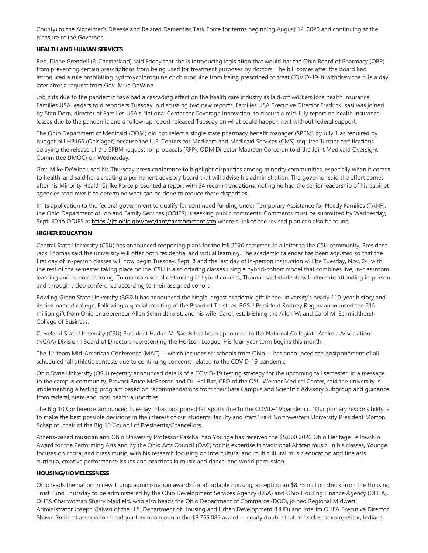County) to the Alzheimer's Disease and Related Dementias Task Force for terms beginning August 12, 2020 and continuing at the pleasure of the Governor.

## **HEALTH AND HUMAN SERVICES**

Rep. Diane Grendell (R-Chesterland) said Friday that she is introducing legislation that would bar the Ohio Board of Pharmacy (OBP) from preventing certain prescriptions from being used for treatment purposes by doctors. The bill comes after the board had introduced a rule prohibiting hydroxychloroquine or chloroquine from being prescribed to treat COVID-19. It withdrew the rule a day later after a request from Gov. Mike DeWine.

Job cuts due to the pandemic have had a cascading effect on the health care industry as laid-off workers lose health insurance, Families USA leaders told reporters Tuesday in discussing two new reports. Families USA Executive Director Fredrick Isasi was joined by Stan Dorn, director of Families USA's National Center for Coverage Innovation, to discuss a mid-July report on health insurance losses due to the pandemic and a follow-up report released Tuesday on what could happen next without federal support.

The Ohio Department of Medicaid (ODM) did not select a single state pharmacy benefit manager (SPBM) by July 1 as required by budget bill HB166 (Oelslager) because the U.S. Centers for Medicare and Medicaid Services (CMS) required further certifications, delaying the release of the SPBM request for proposals (RFP), ODM Director Maureen Corcoran told the Joint Medicaid Oversight Committee (JMOC) on Wednesday.

Gov. Mike DeWine used his Thursday press conference to highlight disparities among minority communities, especially when it comes to health, and said he is creating a permanent advisory board that will advise his administration. The governor said the effort comes after his Minority Health Strike Force presented a report with 34 recommendations, noting he had the senior leadership of his cabinet agencies read over it to determine what can be done to reduce these disparities.

In its application to the federal government to qualify for continued funding under Temporary Assistance for Needy Families (TANF), the Ohio Department of Job and Family Services (ODJFS) is seeking public comments. Comments must be submitted by Wednesday, Sept. 30 to ODJFS at [https://jfs.ohio.gov/owf/tanf/tanfcomment.stm w](https://jfs.ohio.gov/owf/tanf/tanfcomment.stm)here a link to the revised plan can also be found.

## **HIGHER EDUCATION**

Central State University (CSU) has announced reopening plans for the fall 2020 semester. In a letter to the CSU community, President Jack Thomas said the university will offer both residential and virtual learning. The academic calendar has been adjusted so that the first day of in-person classes will now begin Tuesday, Sept. 8 and the last day of in-person instruction will be Tuesday, Nov. 24, with the rest of the semester taking place online. CSU is also offering classes using a hybrid-cohort model that combines live, in-classroom learning and remote learning. To maintain social distancing in hybrid courses, Thomas said students will alternate attending in-person and through video conference according to their assigned cohort.

Bowling Green State University (BGSU) has announced the single largest academic gift in the university's nearly 110-year history and its first named college. Following a special meeting of the Board of Trustees, BGSU President Rodney Rogers announced the \$15 million gift from Ohio entrepreneur Allen Schmidthorst, and his wife, Carol, establishing the Allen W. and Carol M. Schmidthorst College of Business.

Cleveland State University (CSU) President Harlan M. Sands has been appointed to the National Collegiate Athletic Association (NCAA) Division I Board of Directors representing the Horizon League. His four-year term begins this month.

The 12-team Mid-American Conference (MAC) -- which includes six schools from Ohio -- has announced the postponement of all scheduled fall athletic contests due to continuing concerns related to the COVID-19 pandemic.

Ohio State University (OSU) recently announced details of a COVID-19 testing strategy for the upcoming fall semester. In a message to the campus community, Provost Bruce McPheron and Dr. Hal Paz, CEO of the OSU Wexner Medical Center, said the university is implementing a testing program based on recommendations from their Safe Campus and Scientific Advisory Subgroup and guidance from federal, state and local health authorities.

The Big 10 Conference announced Tuesday it has postponed fall sports due to the COVID-19 pandemic. "Our primary responsibility is to make the best possible decisions in the interest of our students, faculty and staff," said Northwestern University President Morton Schapiro, chair of the Big 10 Council of Presidents/Chancellors.

Athens-based musician and Ohio University Professor Paschal Yao Younge has received the \$5,000 2020 Ohio Heritage Fellowship Award for the Performing Arts and by the Ohio Arts Council (OAC) for his expertise in traditional African music. In his classes, Younge focuses on choral and brass music, with his research focusing on intercultural and multicultural music education and fine arts curricula, creative performance issues and practices in music and dance, and world percussion.

## **HOUSING/HOMELESSNESS**

Ohio leads the nation in new Trump administration awards for affordable housing, accepting an \$8.75 million check from the Housing Trust Fund Thursday to be administered by the Ohio Development Services Agency (DSA) and Ohio Housing Finance Agency (OHFA). OHFA Chairwoman Sherry Maxfield, who also heads the Ohio Department of Commerce (DOC), joined Regional Midwest Administrator Joseph Galvan of the U.S. Department of Housing and Urban Development (HUD) and interim OHFA Executive Director Shawn Smith at association headquarters to announce the \$8,755,082 award -- nearly double that of its closest competitor, Indiana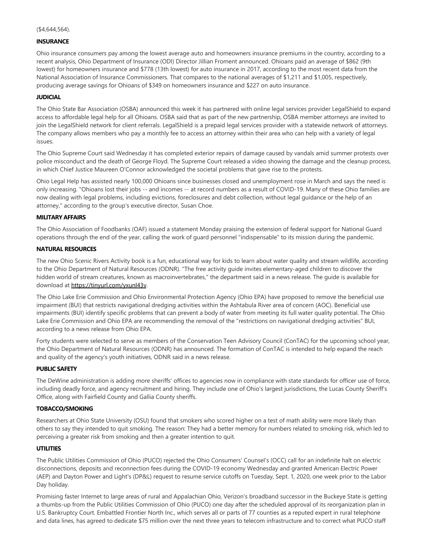### **INSURANCE**

Ohio insurance consumers pay among the lowest average auto and homeowners insurance premiums in the country, according to a recent analysis, Ohio Department of Insurance (ODI) Director Jillian Froment announced. Ohioans paid an average of \$862 (9th lowest) for homeowners insurance and \$778 (13th lowest) for auto insurance in 2017, according to the most recent data from the National Association of Insurance Commissioners. That compares to the national averages of \$1,211 and \$1,005, respectively, producing average savings for Ohioans of \$349 on homeowners insurance and \$227 on auto insurance.

### **JUDICIAL**

The Ohio State Bar Association (OSBA) announced this week it has partnered with online legal services provider LegalShield to expand access to affordable legal help for all Ohioans. OSBA said that as part of the new partnership, OSBA member attorneys are invited to join the LegalShield network for client referrals. LegalShield is a prepaid legal services provider with a statewide network of attorneys. The company allows members who pay a monthly fee to access an attorney within their area who can help with a variety of legal issues.

The Ohio Supreme Court said Wednesday it has completed exterior repairs of damage caused by vandals amid summer protests over police misconduct and the death of George Floyd. The Supreme Court released a video showing the damage and the cleanup process, in which Chief Justice Maureen O'Connor acknowledged the societal problems that gave rise to the protests.

Ohio Legal Help has assisted nearly 100,000 Ohioans since businesses closed and unemployment rose in March and says the need is only increasing. "Ohioans lost their jobs -- and incomes -- at record numbers as a result of COVID-19. Many of these Ohio families are now dealing with legal problems, including evictions, foreclosures and debt collection, without legal guidance or the help of an attorney," according to the group's executive director, Susan Choe.

### **MILITARY AFFAIRS**

The Ohio Association of Foodbanks (OAF) issued a statement Monday praising the extension of federal support for National Guard operations through the end of the year, calling the work of guard personnel "indispensable" to its mission during the pandemic.

## **NATURAL RESOURCES**

The new Ohio Scenic Rivers Activity book is a fun, educational way for kids to learn about water quality and stream wildlife, according to the Ohio Department of Natural Resources (ODNR). "The free activity guide invites elementary-aged children to discover the hidden world of stream creatures, known as macroinvertebrates," the department said in a news release. The guide is available for download at [https://tinyurl.com/yxunl43v.](https://tinyurl.com/yxunl43v)

The Ohio Lake Erie Commission and Ohio Environmental Protection Agency (Ohio EPA) have proposed to remove the beneficial use impairment (BUI) that restricts navigational dredging activities within the Ashtabula River area of concern (AOC). Beneficial use impairments (BUI) identify specific problems that can prevent a body of water from meeting its full water quality potential. The Ohio Lake Erie Commission and Ohio EPA are recommending the removal of the "restrictions on navigational dredging activities" BUI, according to a news release from Ohio EPA.

Forty students were selected to serve as members of the Conservation Teen Advisory Council (ConTAC) for the upcoming school year, the Ohio Department of Natural Resources (ODNR) has announced. The formation of ConTAC is intended to help expand the reach and quality of the agency's youth initiatives, ODNR said in a news release.

## **PUBLIC SAFETY**

The DeWine administration is adding more sheriffs' offices to agencies now in compliance with state standards for officer use of force, including deadly force, and agency recruitment and hiring. They include one of Ohio's largest jurisdictions, the Lucas County Sheriff's Office, along with Fairfield County and Gallia County sheriffs.

## **TOBACCO/SMOKING**

Researchers at Ohio State University (OSU) found that smokers who scored higher on a test of math ability were more likely than others to say they intended to quit smoking. The reason: They had a better memory for numbers related to smoking risk, which led to perceiving a greater risk from smoking and then a greater intention to quit.

## **UTILITIES**

The Public Utilities Commission of Ohio (PUCO) rejected the Ohio Consumers' Counsel's (OCC) call for an indefinite halt on electric disconnections, deposits and reconnection fees during the COVID-19 economy Wednesday and granted American Electric Power (AEP) and Dayton Power and Light's (DP&L) request to resume service cutoffs on Tuesday, Sept. 1, 2020, one week prior to the Labor Day holiday.

Promising faster Internet to large areas of rural and Appalachian Ohio, Verizon's broadband successor in the Buckeye State is getting a thumbs-up from the Public Utilities Commission of Ohio (PUCO) one day after the scheduled approval of its reorganization plan in U.S. Bankruptcy Court. Embattled Frontier North Inc., which serves all or parts of 77 counties as a reputed expert in rural telephone and data lines, has agreed to dedicate \$75 million over the next three years to telecom infrastructure and to correct what PUCO staff